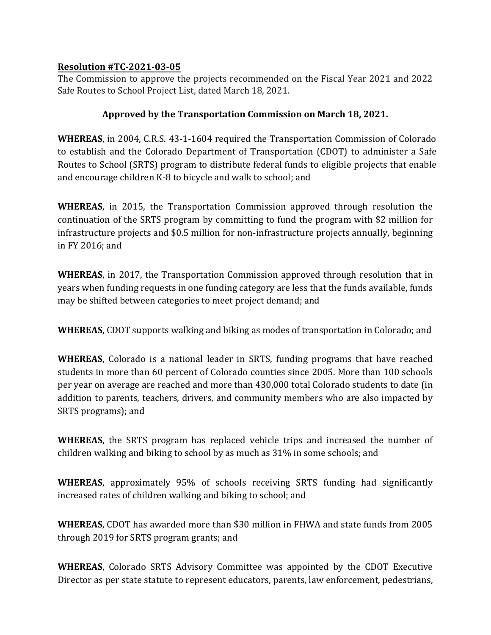## **Resolution #TC-2021-03-05**

The Commission to approve the projects recommended on the Fiscal Year 2021 and 2022 Safe Routes to School Project List, dated March 18, 2021.

## **Approved by the Transportation Commission on March 18, 2021.**

**WHEREAS**, in 2004, C.R.S. 43-1-1604 required the Transportation Commission of Colorado to establish and the Colorado Department of Transportation (CDOT) to administer a Safe Routes to School (SRTS) program to distribute federal funds to eligible projects that enable and encourage children K-8 to bicycle and walk to school; and

**WHEREAS**, in 2015, the Transportation Commission approved through resolution the continuation of the SRTS program by committing to fund the program with \$2 million for infrastructure projects and \$0.5 million for non-infrastructure projects annually, beginning in FY 2016; and

**WHEREAS**, in 2017, the Transportation Commission approved through resolution that in years when funding requests in one funding category are less that the funds available, funds may be shifted between categories to meet project demand; and

**WHEREAS**, CDOT supports walking and biking as modes of transportation in Colorado; and

**WHEREAS**, Colorado is a national leader in SRTS, funding programs that have reached students in more than 60 percent of Colorado counties since 2005. More than 100 schools per year on average are reached and more than 430,000 total Colorado students to date (in addition to parents, teachers, drivers, and community members who are also impacted by SRTS programs); and

**WHEREAS**, the SRTS program has replaced vehicle trips and increased the number of children walking and biking to school by as much as 31% in some schools; and

**WHEREAS**, approximately 95% of schools receiving SRTS funding had significantly increased rates of children walking and biking to school; and

**WHEREAS**, CDOT has awarded more than \$30 million in FHWA and state funds from 2005 through 2019 for SRTS program grants; and

**WHEREAS**, Colorado SRTS Advisory Committee was appointed by the CDOT Executive Director as per state statute to represent educators, parents, law enforcement, pedestrians,